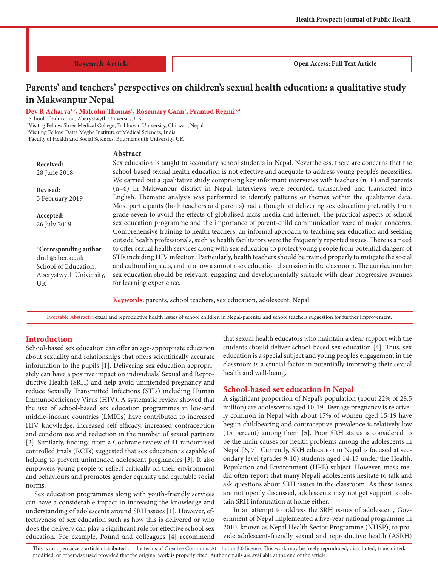**Research Article Open Access: Full Text Article**

# **Parents' and teachers' perspectives on children's sexual health education: a qualitative study in Makwanpur Nepal**

**Dev R Acharya1,2, Malcolm Thomas1 , Rosemary Cann1 , Pramod Regmi3,4**

1 School of Education, Aberystwyth University, UK

2 Visitng Fellow, Shree Medical College, Tribhuvan University, Chitwan, Nepal 3 Visiting Fellow, Datta Meghe Institute of Medical Sciences, India

4 Faculty of Health and Social Sciences, Bournemouth University, UK

#### **Abstract**

28 June 2018 **Revised:**

**Received:**

5 February 2019

**Accepted:** 26 July 2019

**\*Corresponding author** dra1@aber.ac.uk School of Education, Aberystwyth University, UK

Sex education is taught to secondary school students in Nepal. Nevertheless, there are concerns that the school-based sexual health education is not effective and adequate to address young people's necessities. We carried out a qualitative study comprising key informant interviews with teachers (n=8) and parents (n=6) in Makwanpur district in Nepal. Interviews were recorded, transcribed and translated into English. Thematic analysis was performed to identify patterns or themes within the qualitative data. Most participants (both teachers and parents) had a thought of delivering sex education preferably from grade seven to avoid the effects of globalised mass-media and internet. The practical aspects of school sex education programme and the importance of parent-child communication were of major concerns. Comprehensive training to health teachers, an informal approach to teaching sex education and seeking outside health professionals, such as health facilitators were the frequently reported issues. There is a need to offer sexual health services along with sex education to protect young people from potential dangers of STIs including HIV infection. Particularly, health teachers should be trained properly to mitigate the social and cultural impacts, and to allow a smooth sex education discussion in the classroom. The curriculum for sex education should be relevant, engaging and developmentally suitable with clear progressive avenues for learning experience.

**Keywords:** parents, school teachers, sex education, adolescent, Nepal

Tweetable Abstract: Sexual and reproductive health issues of school children in Nepal-parental and school teachers suggestion for further improvement.

#### **Introduction**

School-based sex education can offer an age-appropriate education about sexuality and relationships that offers scientifically accurate information to the pupils [1]. Delivering sex education appropriately can have a positive impact on individuals' Sexual and Reproductive Health (SRH) and help avoid unintended pregnancy and reduce Sexually Transmitted Infections (STIs) including Human Immunodeficiency Virus (HIV). A systematic review showed that the use of school-based sex education programmes in low-and middle-income countries (LMICs) have contributed to increased HIV knowledge, increased self-efficacy, increased contraception and condom use and reduction in the number of sexual partners [2]. Similarly, findings from a Cochrane review of 41 randomised controlled trials (RCTs) suggested that sex education is capable of helping to prevent unintended adolescent pregnancies [3]. It also empowers young people to reflect critically on their environment and behaviours and promotes gender equality and equitable social norms.

 Sex education programmes along with youth-friendly services can have a considerable impact in increasing the knowledge and understanding of adolescents around SRH issues [1]. However, effectiveness of sex education such as how this is delivered or who does the delivery can play a significant role for effective school sex education. For example, Pound and colleagues [4] recommend

that sexual health educators who maintain a clear rapport with the students should deliver school-based sex education [4]. Thus, sex education is a special subject and young people's engagement in the classroom is a crucial factor in potentially improving their sexual health and well-being.

### **School-based sex education in Nepal**

A significant proportion of Nepal's population (about 22% of 28.5 million) are adolescents aged 10-19. Teenage pregnancy is relatively common in Nepal with about 17% of women aged 15-19 have begun childbearing and contraceptive prevalence is relatively low (15 percent) among them [5]. Poor SRH status is considered to be the main causes for health problems among the adolescents in Nepal [6, 7]. Currently, SRH education in Nepal is focused at secondary level (grades 9-10) students aged 14-15 under the Health, Population and Environment (HPE) subject. However, mass-media often report that many Nepali adolescents hesitate to talk and ask questions about SRH issues in the classroom. As these issues are not openly discussed, adolescents may not get support to obtain SRH information at home either.

 In an attempt to address the SRH issues of adolescent, Government of Nepal implemented a five-year national programme in 2010, known as Nepal Health Sector Programme (NHSP), to provide adolescent-friendly sexual and reproductive health (ASRH)

This is an open access article distributed on the terms of Creative Commons Attribution3.0 license. This work may be freely reproduced, distributed, transmitted, modified, or otherwise used provided that the original work is properly cited. Author emails are available at the end of the article.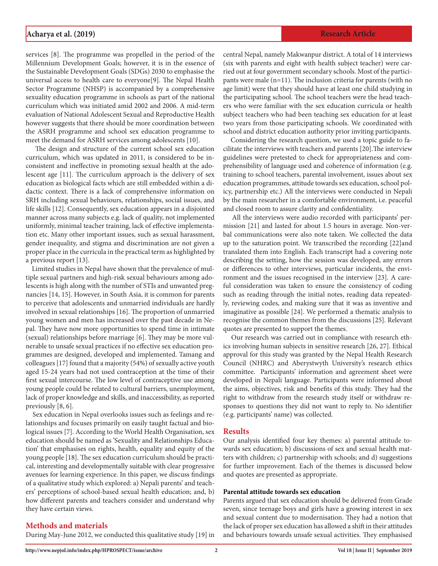# **Acharya et al. (2019) Research Article**

services [8]. The programme was propelled in the period of the Millennium Development Goals; however, it is in the essence of the Sustainable Development Goals (SDGs) 2030 to emphasise the universal access to health care to everyone[9]. The Nepal Health Sector Programme (NHSP) is accompanied by a comprehensive sexuality education programme in schools as part of the national curriculum which was initiated amid 2002 and 2006. A mid-term evaluation of National Adolescent Sexual and Reproductive Health however suggests that there should be more coordination between the ASRH programme and school sex education programme to meet the demand for ASRH services among adolescents [10].

 The design and structure of the current school sex education curriculum, which was updated in 2011, is considered to be inconsistent and ineffective in promoting sexual health at the adolescent age [11]. The curriculum approach is the delivery of sex education as biological facts which are still embedded within a didactic context. There is a lack of comprehensive information on SRH including sexual behaviours, relationships, social issues, and life skills [12]. Consequently, sex education appears in a disjointed manner across many subjects e.g. lack of quality, not implemented uniformly, minimal teacher training, lack of effective implementation etc. Many other important issues, such as sexual harassment, gender inequality, and stigma and discrimination are not given a proper place in the curricula in the practical term as highlighted by a previous report [13].

 Limited studies in Nepal have shown that the prevalence of multiple sexual partners and high-risk sexual behaviours among adolescents is high along with the number of STIs and unwanted pregnancies [14, 15]. However, in South Asia, it is common for parents to perceive that adolescents and unmarried individuals are hardly involved in sexual relationships [16]. The proportion of unmarried young women and men has increased over the past decade in Nepal. They have now more opportunities to spend time in intimate (sexual) relationships before marriage [6]. They may be more vulnerable to unsafe sexual practices if no effective sex education programmes are designed, developed and implemented. Tamang and colleagues [17] found that a majority (54%) of sexually active youth aged 15-24 years had not used contraception at the time of their first sexual intercourse. The low level of contraceptive use among young people could be related to cultural barriers, unemployment, lack of proper knowledge and skills, and inaccessibility, as reported previously [8, 6].

 Sex education in Nepal overlooks issues such as feelings and relationships and focuses primarily on easily taught factual and biological issues [7]. According to the World Health Organisation, sex education should be named as 'Sexuality and Relationships Education' that emphasises on rights, health, equality and equity of the young people [18]. The sex education curriculum should be practical, interesting and developmentally suitable with clear progressive avenues for learning experience. In this paper, we discuss findings of a qualitative study which explored: a) Nepali parents' and teachers' perceptions of school-based sexual health education; and, b) how different parents and teachers consider and understand why they have certain views.

**Methods and materials**

During May-June 2012, we conducted this qualitative study [19] in

central Nepal, namely Makwanpur district. A total of 14 interviews (six with parents and eight with health subject teacher) were carried out at four government secondary schools. Most of the participants were male (n=11). The inclusion criteria for parents (with no age limit) were that they should have at least one child studying in the participating school. The school teachers were the head teachers who were familiar with the sex education curricula or health subject teachers who had been teaching sex education for at least two years from those participating schools. We coordinated with school and district education authority prior inviting participants.

 Considering the research question, we used a topic guide to facilitate the interviews with teachers and parents [20].The interview guidelines were pretested to check for appropriateness and comprehensibility of language used and coherence of information (e.g. training to school teachers, parental involvement, issues about sex education programmes, attitude towards sex education, school policy, partnership etc.) All the interviews were conducted in Nepali by the main researcher in a comfortable environment, i.e. peaceful and closed room to assure clarity and confidentiality.

 All the interviews were audio recorded with participants' permission [21] and lasted for about 1.5 hours in average. Non-verbal communications were also note taken. We collected the data up to the saturation point. We transcribed the recording [22]and translated them into English. Each transcript had a covering note describing the setting, how the session was developed, any errors or differences to other interviews, particular incidents, the environment and the issues recognised in the interview [23]. A careful consideration was taken to ensure the consistency of coding such as reading through the initial notes, reading data repeatedly, reviewing codes, and making sure that it was as inventive and imaginative as possible [24]. We performed a thematic analysis to recognise the common themes from the discussions [25]. Relevant quotes are presented to support the themes.

 Our research was carried out in compliance with research ethics involving human subjects in sensitive research [26, 27]. Ethical approval for this study was granted by the Nepal Health Research Council (NHRC) and Aberystwyth University's research ethics committee. Participants' information and agreement sheet were developed in Nepali language. Participants were informed about the aims, objectives, risk and benefits of this study. They had the right to withdraw from the research study itself or withdraw responses to questions they did not want to reply to. No identifier (e.g. participants' name) was collected.

#### **Results**

Our analysis identified four key themes: a) parental attitude towards sex education; b) discussions of sex and sexual health matters with children; c) partnership with schools; and d) suggestions for further improvement. Each of the themes is discussed below and quotes are presented as appropriate.

#### **Parental attitude towards sex education**

Parents argued that sex education should be delivered from Grade seven, since teenage boys and girls have a growing interest in sex and sexual content due to modernisation. They had a notion that the lack of proper sex education has allowed a shift in their attitudes and behaviours towards unsafe sexual activities. They emphasised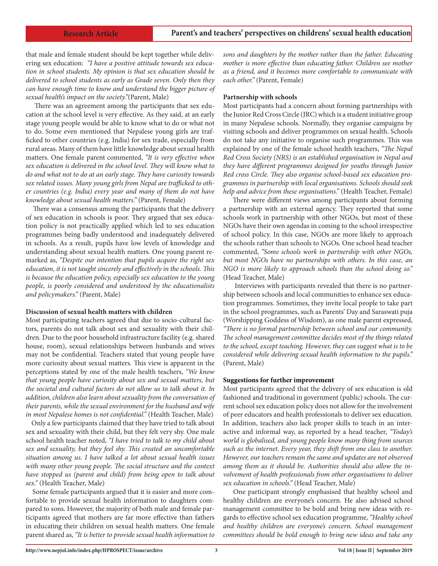that male and female student should be kept together while delivering sex education: *"I have a positive attitude towards sex education in school students. My opinion is that sex education should be delivered to school students as early as Grade seven. Only then they can have enough time to know and understand the bigger picture of sexual health's impact on the society."*(Parent, Male)

 There was an agreement among the participants that sex education at the school level is very effective. As they said, at an early stage young people would be able to know what to do or what not to do. Some even mentioned that Nepalese young girls are trafficked to other countries (e.g. India) for sex trade, especially from rural areas. Many of them have little knowledge about sexual health matters. One female parent commented, *"It is very effective when sex education is delivered in the school level. They will know what to do and what not to do at an early stage. They have curiosity towards sex related issues. Many young girls from Nepal are trafficked to other countries (e.g. India) every year and many of them do not have knowledge about sexual health matters."* (Parent, Female)

 There was a consensus among the participants that the delivery of sex education in schools is poor. They argued that sex education policy is not practically applied which led to sex education programmes being badly understood and inadequately delivered in schools. As a result, pupils have low levels of knowledge and understanding about sexual health matters. One young parent remarked as, *"Despite our intention that pupils acquire the right sex education, it is not taught sincerely and effectively in the schools. This is because the education policy, especially sex education to the young people, is poorly considered and understood by the educationalists and policymakers."* (Parent, Male)

# **Discussion of sexual health matters with children**

Most participating teachers agreed that due to socio-cultural factors, parents do not talk about sex and sexuality with their children. Due to the poor household infrastructure facility (e.g. shared house, room), sexual relationships between husbands and wives may not be confidential. Teachers stated that young people have more curiosity about sexual matters. This view is apparent in the perceptions stated by one of the male health teachers, *"We know that young people have curiosity about sex and sexual matters, but the societal and cultural factors do not allow us to talk about it. In addition, children also learn about sexuality from the conversation of their parents, while the sexual environment for the husband and wife in most Nepalese homes is not confidential."* (Health Teacher, Male)

 Only a few participants claimed that they have tried to talk about sex and sexuality with their child, but they felt very shy. One male school health teacher noted, *"I have tried to talk to my child about sex and sexuality, but they feel shy. This created an uncomfortable situation among us. I have talked a lot about sexual health issues with many other young people. The social structure and the context have stopped us (parent and child) from being open to talk about sex."* (Health Teacher, Male)

 Some female participants argued that it is easier and more comfortable to provide sexual health information to daughters compared to sons. However, the majority of both male and female participants agreed that mothers are far more effective than fathers in educating their children on sexual health matters. One female parent shared as, *"It is better to provide sexual health information to* 

*sons and daughters by the mother rather than the father. Educating mother is more effective than educating father. Children see mother as a friend, and it becomes more comfortable to communicate with each other."* (Parent, Female)

# **Partnership with schools**

Most participants had a concern about forming partnerships with the Junior Red Cross Circle (JRC) which is a student initiative group in many Nepalese schools. Normally, they organise campaigns by visiting schools and deliver programmes on sexual health. Schools do not take any initiative to organise such programmes. This was explained by one of the female school health teachers, *"The Nepal Red Cross Society (NRS) is an established organisation in Nepal and they have different programmes designed for youths through Junior Red cross Circle. They also organise school-based sex education programmes in partnership with local organisations. Schools should seek help and advice from these organisations."* (Health Teacher, Female)

 There were different views among participants about forming a partnership with an external agency. They reported that some schools work in partnership with other NGOs, but most of these NGOs have their own agendas in coming to the school irrespective of school policy. In this case, NGOs are more likely to approach the schools rather than schools to NGOs. One school head teacher commented, *"Some schools work in partnership with other NGOs, but most NGOs have no partnerships with others. In this case, an NGO is more likely to approach schools than the school doing so."*  (Head Teacher, Male)

 Interviews with participants revealed that there is no partnership between schools and local communities to enhance sex education programmes. Sometimes, they invite local people to take part in the school programmes, such as Parents' Day and Saraswati puja (Worshipping Goddess of Wisdom), as one male parent expressed, *"There is no formal partnership between school and our community. The school management committee decides most of the things related to the school, except teaching. However, they can suggest what is to be considered while delivering sexual health information to the pupils."*  (Parent, Male)

### **Suggestions for further improvement**

Most participants agreed that the delivery of sex education is old fashioned and traditional in government (public) schools. The current school sex education policy does not allow for the involvement of peer educators and health professionals to deliver sex education. In addition, teachers also lack proper skills to teach in an interactive and informal way, as reported by a head teacher, *"Today's world is globalised, and young people know many thing from sources such as the internet. Every year, they shift from one class to another. However, our teachers remain the same and updates are not observed among them as it should be. Authorities should also allow the involvement of health professionals from other organisations to deliver sex education in schools."* (Head Teacher, Male)

 One participant strongly emphasised that healthy school and healthy children are everyone's concern. He also advised school management committee to be bold and bring new ideas with regards to effective school sex education programme, *"Healthy school and healthy children are everyone's concern. School management committees should be bold enough to bring new ideas and take any*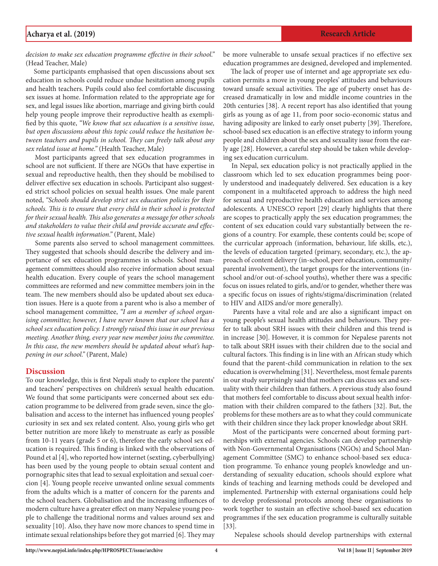# **Acharya et al. (2019)**

*decision to make sex education programme effective in their school."* (Head Teacher, Male)

 Some participants emphasised that open discussions about sex education in schools could reduce undue hesitation among pupils and health teachers. Pupils could also feel comfortable discussing sex issues at home. Information related to the appropriate age for sex, and legal issues like abortion, marriage and giving birth could help young people improve their reproductive health as exemplified by this quote, *"We know that sex education is a sensitive issue, but open discussions about this topic could reduce the hesitation between teachers and pupils in school. They can freely talk about any sex related issue at home."* (Health Teacher, Male)

 Most participants agreed that sex education programmes in school are not sufficient. If there are NGOs that have expertise in sexual and reproductive health, then they should be mobilised to deliver effective sex education in schools. Participant also suggested strict school policies on sexual health issues. One male parent noted, *"Schools should develop strict sex education policies for their schools. This is to ensure that every child in their school is protected for their sexual health. This also generates a message for other schools and stakeholders to value their child and provide accurate and effective sexual health information."* (Parent, Male)

 Some parents also served to school management committees. They suggested that schools should describe the delivery and importance of sex education programmes in schools. School management committees should also receive information about sexual health education. Every couple of years the school management committees are reformed and new committee members join in the team. The new members should also be updated about sex education issues. Here is a quote from a parent who is also a member of school management committee, *"I am a member of school organising committee; however, I have never known that our school has a school sex education policy. I strongly raised this issue in our previous meeting. Another thing, every year new member joins the committee. In this case, the new members should be updated about what's happening in our school."* (Parent, Male)

#### **Discussion**

To our knowledge, this is first Nepali study to explore the parents' and teachers' perspectives on children's sexual health education. We found that some participants were concerned about sex education programme to be delivered from grade seven, since the globalisation and access to the internet has influenced young peoples' curiosity in sex and sex related content. Also, young girls who get better nutrition are more likely to menstruate as early as possible from 10-11 years (grade 5 or 6), therefore the early school sex education is required. This finding is linked with the observations of Pound et al [4], who reported how internet (sexting, cyberbullying) has been used by the young people to obtain sexual content and pornographic sites that lead to sexual exploitation and sexual coercion [4]. Young people receive unwanted online sexual comments from the adults which is a matter of concern for the parents and the school teachers. Globalisation and the increasing influences of modern culture have a greater effect on many Nepalese young people to challenge the traditional norms and values around sex and sexuality [10]. Also, they have now more chances to spend time in intimate sexual relationships before they got married [6]. They may

be more vulnerable to unsafe sexual practices if no effective sex education programmes are designed, developed and implemented.

 The lack of proper use of internet and age appropriate sex education permits a move in young peoples' attitudes and behaviours toward unsafe sexual activities. The age of puberty onset has decreased dramatically in low and middle income countries in the 20th centuries [38]. A recent report has also identified that young girls as young as of age 11, from poor socio-economic status and having adiposity are linked to early onset puberty [39]. Therefore, school-based sex education is an effective strategy to inform young people and children about the sex and sexuality issue from the early age [28]. However, a careful step should be taken while developing sex education curriculum.

 In Nepal, sex education policy is not practically applied in the classroom which led to sex education programmes being poorly understood and inadequately delivered. Sex education is a key component in a multifaceted approach to address the high need for sexual and reproductive health education and services among adolescents. A UNESCO report [29] clearly highlights that there are scopes to practically apply the sex education programmes; the content of sex education could vary substantially between the regions of a country. For example, these contents could be; scope of the curricular approach (information, behaviour, life skills, etc.), the levels of education targeted (primary, secondary, etc.), the approach of content delivery (in-school, peer education, community/ parental involvement), the target groups for the interventions (inschool and/or out-of-school youths), whether there was a specific focus on issues related to girls, and/or to gender, whether there was a specific focus on issues of rights/stigma/discrimination (related to HIV and AIDS and/or more generally).

 Parents have a vital role and are also a significant impact on young people's sexual health attitudes and behaviours. They prefer to talk about SRH issues with their children and this trend is in increase [30]. However, it is common for Nepalese parents not to talk about SRH issues with their children due to the social and cultural factors. This finding is in line with an African study which found that the parent-child communication in relation to the sex education is overwhelming [31]. Nevertheless, most female parents in our study surprisingly said that mothers can discuss sex and sexuality with their children than fathers. A previous study also found that mothers feel comfortable to discuss about sexual health information with their children compared to the fathers [32]. But, the problems for these mothers are as to what they could communicate with their children since they lack proper knowledge about SRH.

 Most of the participants were concerned about forming partnerships with external agencies. Schools can develop partnership with Non-Governmental Organisations (NGOs) and School Management Committee (SMC) to enhance school-based sex education programme. To enhance young people's knowledge and understanding of sexuality education, schools should explore what kinds of teaching and learning methods could be developed and implemented. Partnership with external organisations could help to develop professional protocols among these organisations to work together to sustain an effective school-based sex education programmes if the sex education programme is culturally suitable [33].

Nepalese schools should develop partnerships with external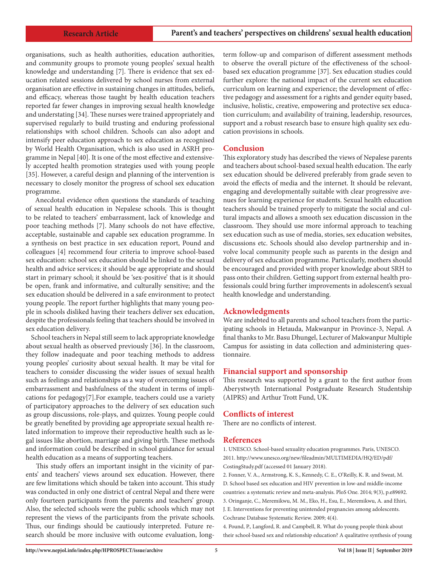organisations, such as health authorities, education authorities, and community groups to promote young peoples' sexual health knowledge and understanding [7]. There is evidence that sex education related sessions delivered by school nurses from external organisation are effective in sustaining changes in attitudes, beliefs, and efficacy, whereas those taught by health education teachers reported far fewer changes in improving sexual health knowledge and understating [34]. These nurses were trained appropriately and supervised regularly to build trusting and enduring professional relationships with school children. Schools can also adopt and intensify peer education approach to sex education as recognised by World Health Organisation, which is also used in ASRH programme in Nepal [40]. It is one of the most effective and extensively accepted health promotion strategies used with young people [35]. However, a careful design and planning of the intervention is necessary to closely monitor the progress of school sex education programme.

 Anecdotal evidence often questions the standards of teaching of sexual health education in Nepalese schools. This is thought to be related to teachers' embarrassment, lack of knowledge and poor teaching methods [7]. Many schools do not have effective, acceptable, sustainable and capable sex education programme. In a synthesis on best practice in sex education report, Pound and colleagues [4] recommend four criteria to improve school-based sex education: school sex education should be linked to the sexual health and advice services; it should be age appropriate and should start in primary school; it should be 'sex-positive' that is it should be open, frank and informative, and culturally sensitive; and the sex education should be delivered in a safe environment to protect young people. The report further highlights that many young people in schools disliked having their teachers deliver sex education, despite the professionals feeling that teachers should be involved in sex education delivery.

 School teachers in Nepal still seem to lack appropriate knowledge about sexual health as observed previously [36]. In the classroom, they follow inadequate and poor teaching methods to address young peoples' curiosity about sexual health. It may be vital for teachers to consider discussing the wider issues of sexual health such as feelings and relationships as a way of overcoming issues of embarrassment and bashfulness of the student in terms of implications for pedagogy[7].For example, teachers could use a variety of participatory approaches to the delivery of sex education such as group discussions, role-plays, and quizzes. Young people could be greatly benefited by providing age appropriate sexual health related information to improve their reproductive health such as legal issues like abortion, marriage and giving birth. These methods and information could be described in school guidance for sexual health education as a means of supporting teachers.

 This study offers an important insight in the vicinity of parents' and teachers' views around sex education. However, there are few limitations which should be taken into account. This study was conducted in only one district of central Nepal and there were only fourteen participants from the parents and teachers' group. Also, the selected schools were the public schools which may not represent the views of the participants from the private schools. Thus, our findings should be cautiously interpreted. Future research should be more inclusive with outcome evaluation, longterm follow-up and comparison of different assessment methods to observe the overall picture of the effectiveness of the schoolbased sex education programme [37]. Sex education studies could further explore: the national impact of the current sex education curriculum on learning and experience; the development of effective pedagogy and assessment for a rights and gender equity based, inclusive, holistic, creative, empowering and protective sex education curriculum; and availability of training, leadership, resources, support and a robust research base to ensure high quality sex education provisions in schools.

# **Conclusion**

This exploratory study has described the views of Nepalese parents and teachers about school-based sexual health education. The early sex education should be delivered preferably from grade seven to avoid the effects of media and the internet. It should be relevant, engaging and developmentally suitable with clear progressive avenues for learning experience for students. Sexual health education teachers should be trained properly to mitigate the social and cultural impacts and allows a smooth sex education discussion in the classroom. They should use more informal approach to teaching sex education such as use of media, stories, sex education websites, discussions etc. Schools should also develop partnership and involve local community people such as parents in the design and delivery of sex education programme. Particularly, mothers should be encouraged and provided with proper knowledge about SRH to pass onto their children. Getting support from external health professionals could bring further improvements in adolescent's sexual health knowledge and understanding.

### **Acknowledgments**

We are indebted to all parents and school teachers from the participating schools in Hetauda, Makwanpur in Province-3, Nepal. A final thanks to Mr. Basu Dhungel, Lecturer of Makwanpur Multiple Campus for assisting in data collection and administering questionnaire.

# **Financial support and sponsorship**

This research was supported by a grant to the first author from Aberystwyth International Postgraduate Research Studentship (AIPRS) and Arthur Trott Fund, UK.

# **Conflicts of interest**

There are no conflicts of interest.

### **References**

1. UNESCO. School-based sexuality education programmes. Paris, UNESCO. 2011. http://www.unesco.org/new/fileadmin/MULTIMEDIA/HQ/ED/pdf/ CostingStudy.pdf (accessed 01 January 2018).

2. Fonner, V. A., Armstrong, K. S., Kennedy, C. E., O'Reilly, K. R. and Sweat, M. D. School based sex education and HIV prevention in low-and middle-income countries: a systematic review and meta-analysis. PloS One. 2014; 9(3), p.e89692. 3. Oringanje, C., Meremikwu, M. M., Eko, H., Esu, E., Meremikwu, A. and Ehiri, J. E. Interventions for preventing unintended pregnancies among adolescents. Cochrane Database Systematic Review. 2009; 4(4).

4. Pound, P., Langford, R. and Campbell, R. What do young people think about their school-based sex and relationship education? A qualitative synthesis of young